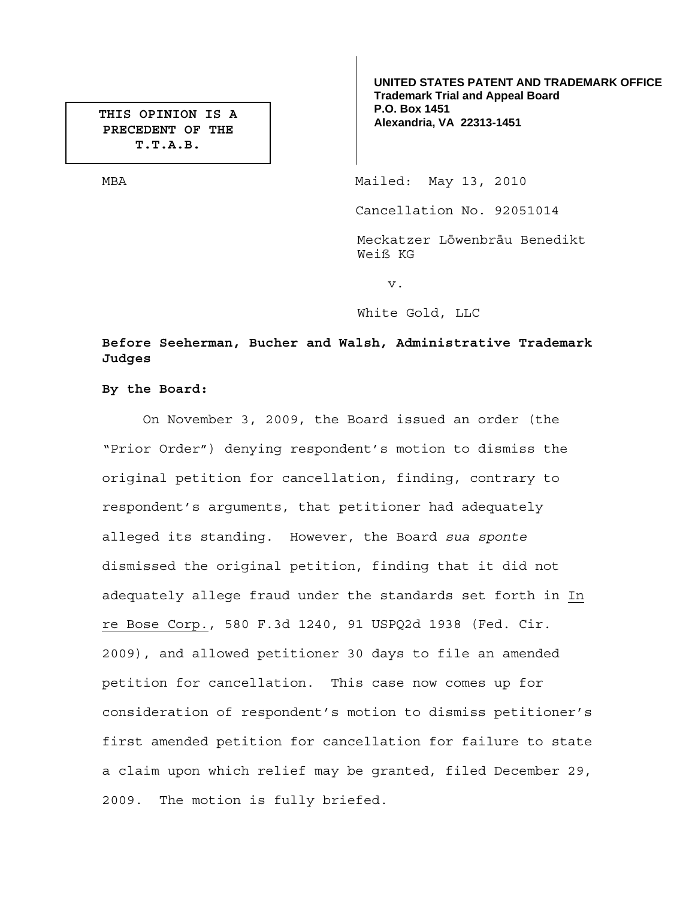**PRECEDENT OF THE T.T.A.B.** 

**UNITED STATES PATENT AND TRADEMARK OFFICE Trademark Trial and Appeal Board P.O. Box 1451**  THIS OPINION IS A **P.O. BOX 1451**<br>Rexandria, VA 22313-1451

MBA Mailed: May 13, 2010

Cancellation No. 92051014

Meckatzer Löwenbräu Benedikt Weiß KG

v.

White Gold, LLC

# **Before Seeherman, Bucher and Walsh, Administrative Trademark Judges**

**By the Board:** 

On November 3, 2009, the Board issued an order (the "Prior Order") denying respondent's motion to dismiss the original petition for cancellation, finding, contrary to respondent's arguments, that petitioner had adequately alleged its standing. However, the Board *sua sponte* dismissed the original petition, finding that it did not adequately allege fraud under the standards set forth in In re Bose Corp., 580 F.3d 1240, 91 USPQ2d 1938 (Fed. Cir. 2009), and allowed petitioner 30 days to file an amended petition for cancellation. This case now comes up for consideration of respondent's motion to dismiss petitioner's first amended petition for cancellation for failure to state a claim upon which relief may be granted, filed December 29, 2009. The motion is fully briefed.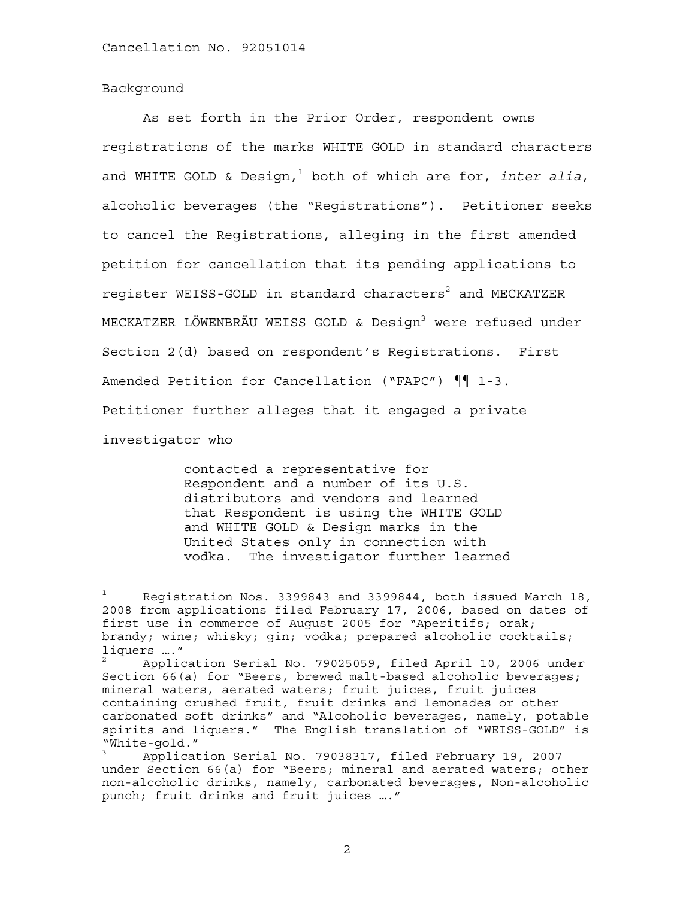## Background

As set forth in the Prior Order, respondent owns registrations of the marks WHITE GOLD in standard characters and WHITE GOLD & Design,<sup>1</sup> both of which are for, *inter alia*, alcoholic beverages (the "Registrations"). Petitioner seeks to cancel the Registrations, alleging in the first amended petition for cancellation that its pending applications to register WEISS-GOLD in standard characters $^2$  and MECKATZER MECKATZER LÖWENBRÄU WEISS GOLD & Design<sup>3</sup> were refused under Section 2(d) based on respondent's Registrations. First Amended Petition for Cancellation ("FAPC") ¶¶ 1-3. Petitioner further alleges that it engaged a private investigator who

> contacted a representative for Respondent and a number of its U.S. distributors and vendors and learned that Respondent is using the WHITE GOLD and WHITE GOLD & Design marks in the United States only in connection with vodka. The investigator further learned

<sup>1</sup> Registration Nos. 3399843 and 3399844, both issued March 18, 2008 from applications filed February 17, 2006, based on dates of first use in commerce of August 2005 for "Aperitifs; orak; brandy; wine; whisky; gin; vodka; prepared alcoholic cocktails; liquers …."

<sup>2</sup> Application Serial No. 79025059, filed April 10, 2006 under Section 66(a) for "Beers, brewed malt-based alcoholic beverages; mineral waters, aerated waters; fruit juices, fruit juices containing crushed fruit, fruit drinks and lemonades or other carbonated soft drinks" and "Alcoholic beverages, namely, potable spirits and liquers." The English translation of "WEISS-GOLD" is "White-gold."

<sup>3</sup> Application Serial No. 79038317, filed February 19, 2007 under Section 66(a) for "Beers; mineral and aerated waters; other non-alcoholic drinks, namely, carbonated beverages, Non-alcoholic punch; fruit drinks and fruit juices …."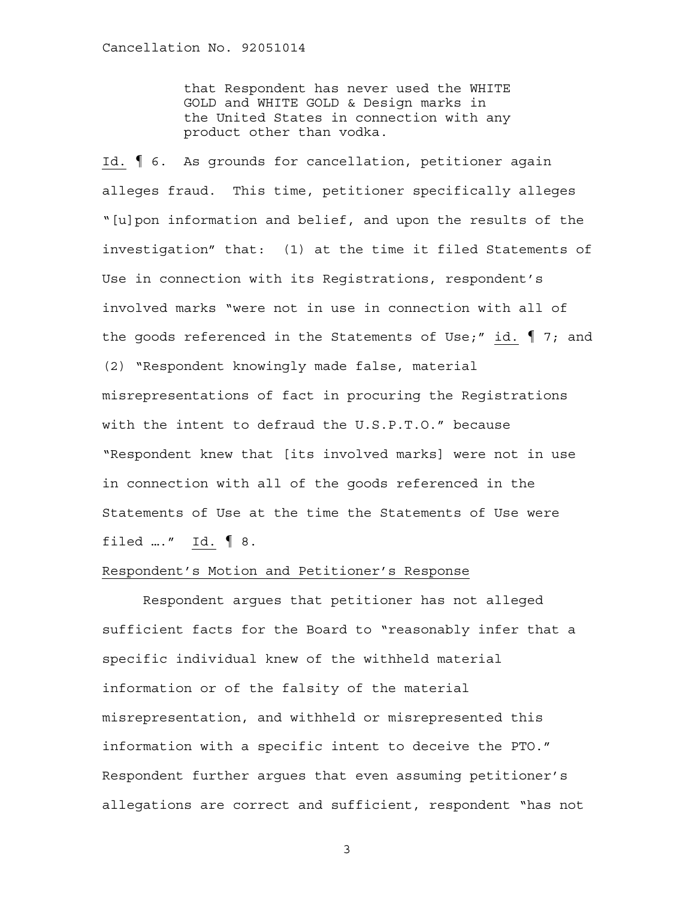that Respondent has never used the WHITE GOLD and WHITE GOLD & Design marks in the United States in connection with any product other than vodka.

Id. ¶ 6. As grounds for cancellation, petitioner again alleges fraud. This time, petitioner specifically alleges "[u]pon information and belief, and upon the results of the investigation" that: (1) at the time it filed Statements of Use in connection with its Registrations, respondent's involved marks "were not in use in connection with all of the goods referenced in the Statements of Use;" id.  $\lbrack \! \lbrack$  7; and (2) "Respondent knowingly made false, material misrepresentations of fact in procuring the Registrations with the intent to defraud the U.S.P.T.O." because "Respondent knew that [its involved marks] were not in use in connection with all of the goods referenced in the Statements of Use at the time the Statements of Use were filed …." Id. ¶ 8.

### Respondent's Motion and Petitioner's Response

Respondent argues that petitioner has not alleged sufficient facts for the Board to "reasonably infer that a specific individual knew of the withheld material information or of the falsity of the material misrepresentation, and withheld or misrepresented this information with a specific intent to deceive the PTO." Respondent further argues that even assuming petitioner's allegations are correct and sufficient, respondent "has not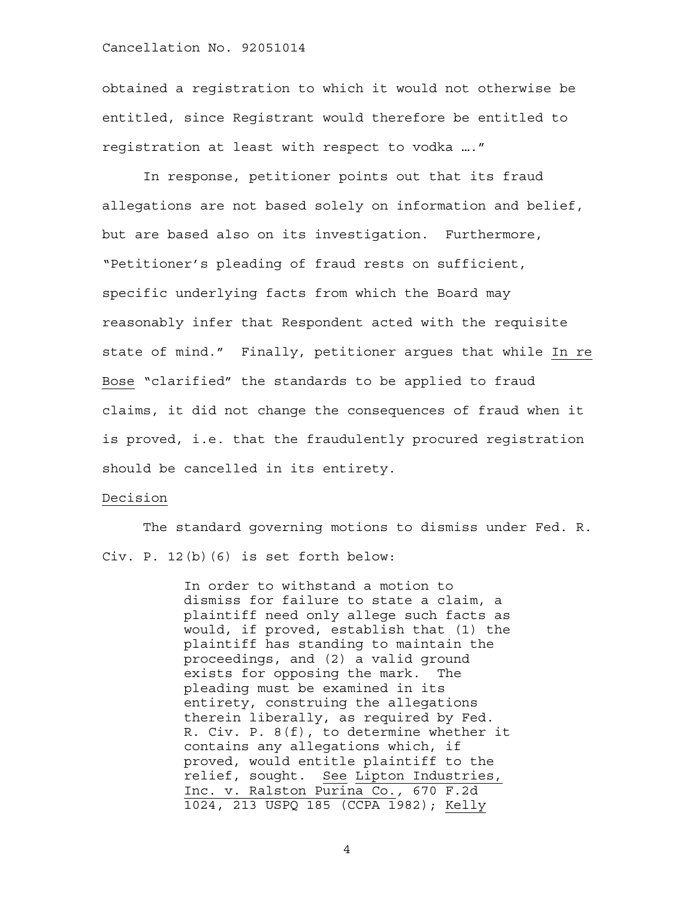obtained a registration to which it would not otherwise be entitled, since Registrant would therefore be entitled to registration at least with respect to vodka …."

In response, petitioner points out that its fraud allegations are not based solely on information and belief, but are based also on its investigation. Furthermore, "Petitioner's pleading of fraud rests on sufficient, specific underlying facts from which the Board may reasonably infer that Respondent acted with the requisite state of mind." Finally, petitioner argues that while In re Bose "clarified" the standards to be applied to fraud claims, it did not change the consequences of fraud when it is proved, i.e. that the fraudulently procured registration should be cancelled in its entirety.

## Decision

The standard governing motions to dismiss under Fed. R. Civ. P. 12(b)(6) is set forth below:

> In order to withstand a motion to dismiss for failure to state a claim, a plaintiff need only allege such facts as would, if proved, establish that (1) the plaintiff has standing to maintain the proceedings, and (2) a valid ground exists for opposing the mark. The pleading must be examined in its entirety, construing the allegations therein liberally, as required by Fed. R. Civ. P. 8(f), to determine whether it contains any allegations which, if proved, would entitle plaintiff to the relief, sought. See Lipton Industries, Inc. v. Ralston Purina Co.*,* 670 F.2d 1024, 213 USPQ 185 (CCPA 1982); Kelly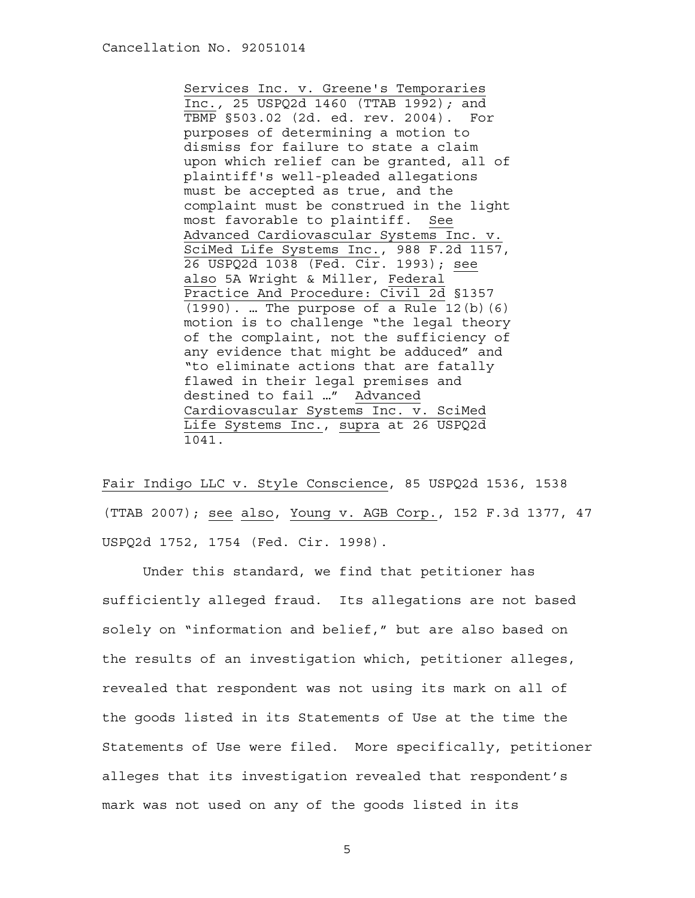Services Inc. v. Greene's Temporaries Inc.*,* 25 USPQ2d 1460 (TTAB 1992)*;* and TBMP §503.02 (2d. ed. rev. 2004). For purposes of determining a motion to dismiss for failure to state a claim upon which relief can be granted, all of plaintiff's well-pleaded allegations must be accepted as true, and the complaint must be construed in the light most favorable to plaintiff. See Advanced Cardiovascular Systems Inc. v. SciMed Life Systems Inc., 988 F.2d 1157, 26 USPQ2d 1038 (Fed. Cir. 1993); see also 5A Wright & Miller, Federal Practice And Procedure: Civil 2d §1357  $(1990)$ . ... The purpose of a Rule 12(b)(6) motion is to challenge "the legal theory of the complaint, not the sufficiency of any evidence that might be adduced" and "to eliminate actions that are fatally flawed in their legal premises and destined to fail …" Advanced Cardiovascular Systems Inc. v. SciMed Life Systems Inc., supra at 26 USPQ2d 1041.

Fair Indigo LLC v. Style Conscience, 85 USPQ2d 1536, 1538 (TTAB 2007); see also, Young v. AGB Corp., 152 F.3d 1377, 47 USPQ2d 1752, 1754 (Fed. Cir. 1998).

 Under this standard, we find that petitioner has sufficiently alleged fraud. Its allegations are not based solely on "information and belief," but are also based on the results of an investigation which, petitioner alleges, revealed that respondent was not using its mark on all of the goods listed in its Statements of Use at the time the Statements of Use were filed. More specifically, petitioner alleges that its investigation revealed that respondent's mark was not used on any of the goods listed in its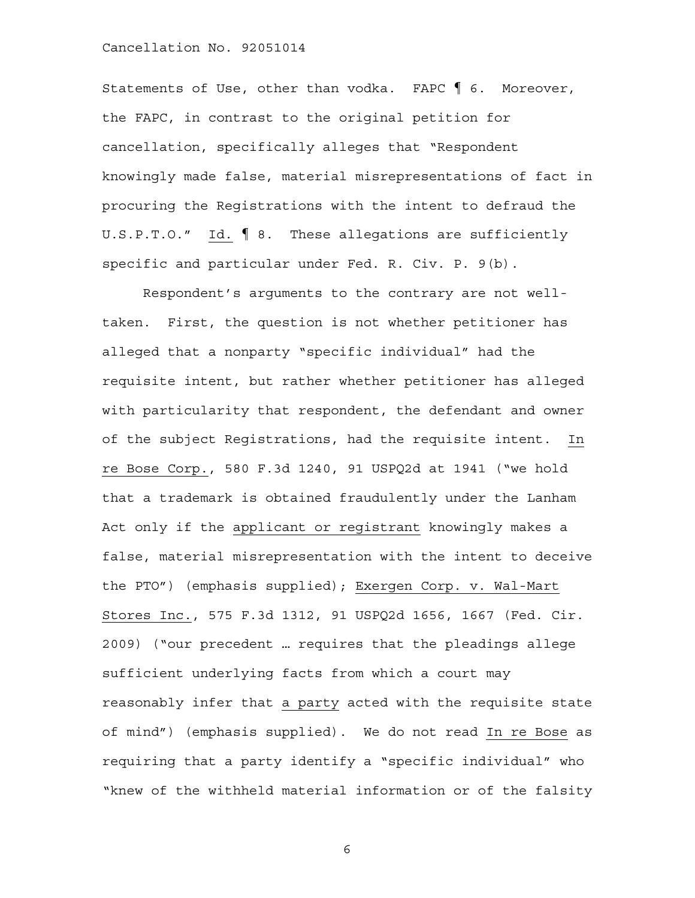Statements of Use, other than vodka. FAPC ¶ 6. Moreover, the FAPC, in contrast to the original petition for cancellation, specifically alleges that "Respondent knowingly made false, material misrepresentations of fact in procuring the Registrations with the intent to defraud the U.S.P.T.O." Id. ¶ 8. These allegations are sufficiently specific and particular under Fed. R. Civ. P. 9(b).

 Respondent's arguments to the contrary are not welltaken. First, the question is not whether petitioner has alleged that a nonparty "specific individual" had the requisite intent, but rather whether petitioner has alleged with particularity that respondent, the defendant and owner of the subject Registrations, had the requisite intent. In re Bose Corp., 580 F.3d 1240, 91 USPQ2d at 1941 ("we hold that a trademark is obtained fraudulently under the Lanham Act only if the applicant or registrant knowingly makes a false, material misrepresentation with the intent to deceive the PTO") (emphasis supplied); Exergen Corp. v. Wal-Mart Stores Inc., 575 F.3d 1312, 91 USPQ2d 1656, 1667 (Fed. Cir. 2009) ("our precedent … requires that the pleadings allege sufficient underlying facts from which a court may reasonably infer that a party acted with the requisite state of mind") (emphasis supplied). We do not read In re Bose as requiring that a party identify a "specific individual" who "knew of the withheld material information or of the falsity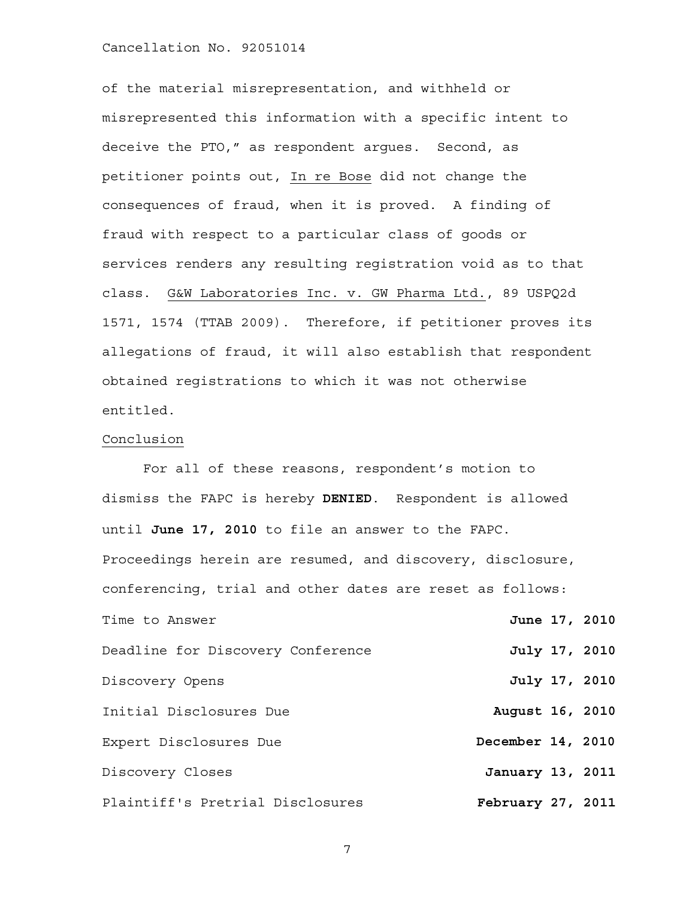of the material misrepresentation, and withheld or misrepresented this information with a specific intent to deceive the PTO," as respondent argues. Second, as petitioner points out, In re Bose did not change the consequences of fraud, when it is proved. A finding of fraud with respect to a particular class of goods or services renders any resulting registration void as to that class. G&W Laboratories Inc. v. GW Pharma Ltd., 89 USPQ2d 1571, 1574 (TTAB 2009). Therefore, if petitioner proves its allegations of fraud, it will also establish that respondent obtained registrations to which it was not otherwise entitled.

#### Conclusion

 For all of these reasons, respondent's motion to dismiss the FAPC is hereby **DENIED**. Respondent is allowed until **June 17, 2010** to file an answer to the FAPC. Proceedings herein are resumed, and discovery, disclosure, conferencing, trial and other dates are reset as follows: Time to Answer **June 17, 2010** Deadline for Discovery Conference **July 17, 2010** Discovery Opens **July 17, 2010** Initial Disclosures Due **August 16, 2010** Expert Disclosures Due<br> **December 14, 2010** Discovery Closes **January 13, 2011** Plaintiff's Pretrial Disclosures **February 27, 2011**